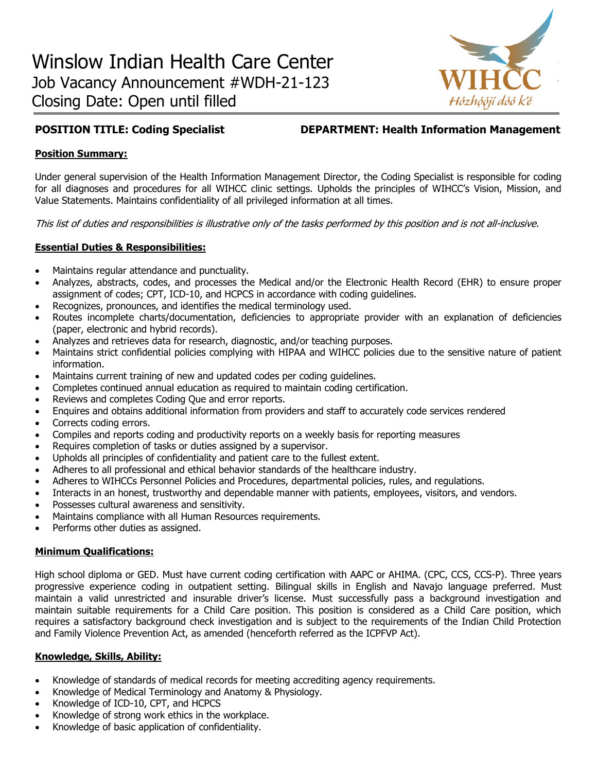

**POSITION TITLE: Coding Specialist DEPARTMENT: Health Information Management**

## **Position Summary:**

Under general supervision of the Health Information Management Director, the Coding Specialist is responsible for coding for all diagnoses and procedures for all WIHCC clinic settings. Upholds the principles of WIHCC's Vision, Mission, and Value Statements. Maintains confidentiality of all privileged information at all times.

This list of duties and responsibilities is illustrative only of the tasks performed by this position and is not all-inclusive.

## **Essential Duties & Responsibilities:**

- Maintains regular attendance and punctuality.
- Analyzes, abstracts, codes, and processes the Medical and/or the Electronic Health Record (EHR) to ensure proper assignment of codes; CPT, ICD-10, and HCPCS in accordance with coding guidelines.
- Recognizes, pronounces, and identifies the medical terminology used.
- Routes incomplete charts/documentation, deficiencies to appropriate provider with an explanation of deficiencies (paper, electronic and hybrid records).
- Analyzes and retrieves data for research, diagnostic, and/or teaching purposes.
- Maintains strict confidential policies complying with HIPAA and WIHCC policies due to the sensitive nature of patient information.
- Maintains current training of new and updated codes per coding guidelines.
- Completes continued annual education as required to maintain coding certification.
- Reviews and completes Coding Que and error reports.
- Enquires and obtains additional information from providers and staff to accurately code services rendered
- Corrects coding errors.
- Compiles and reports coding and productivity reports on a weekly basis for reporting measures
- Requires completion of tasks or duties assigned by a supervisor.
- Upholds all principles of confidentiality and patient care to the fullest extent.
- Adheres to all professional and ethical behavior standards of the healthcare industry.
- Adheres to WIHCCs Personnel Policies and Procedures, departmental policies, rules, and regulations.
- Interacts in an honest, trustworthy and dependable manner with patients, employees, visitors, and vendors.
- Possesses cultural awareness and sensitivity.
- Maintains compliance with all Human Resources requirements.
- Performs other duties as assigned.

# **Minimum Qualifications:**

High school diploma or GED. Must have current coding certification with AAPC or AHIMA. (CPC, CCS, CCS-P). Three years progressive experience coding in outpatient setting. Bilingual skills in English and Navajo language preferred. Must maintain a valid unrestricted and insurable driver's license. Must successfully pass a background investigation and maintain suitable requirements for a Child Care position. This position is considered as a Child Care position, which requires a satisfactory background check investigation and is subject to the requirements of the Indian Child Protection and Family Violence Prevention Act, as amended (henceforth referred as the ICPFVP Act).

# **Knowledge, Skills, Ability:**

- Knowledge of standards of medical records for meeting accrediting agency requirements.
- Knowledge of Medical Terminology and Anatomy & Physiology.
- Knowledge of ICD-10, CPT, and HCPCS
- Knowledge of strong work ethics in the workplace.
- Knowledge of basic application of confidentiality.